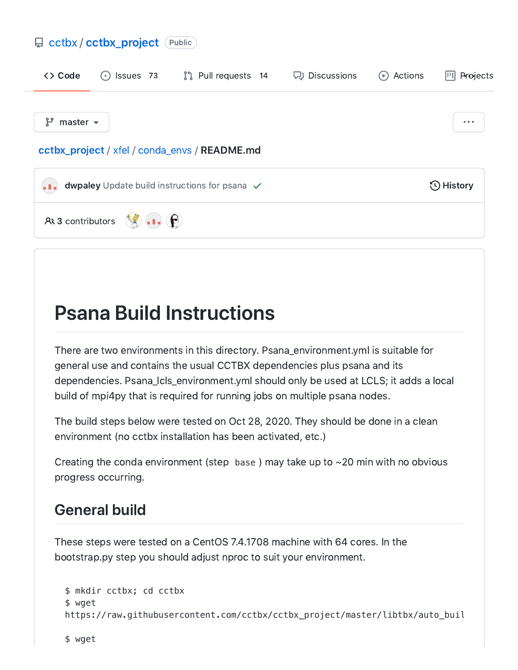#### 뮤 [cctbx](https://github.com/cctbx) / [cctbx\\_project](https://github.com/cctbx/cctbx_project) (Public)



# Psana Build Instructions

There are two environments in this directory. Psana\_environment.yml is suitable for general use and contains the usual CCTBX dependencies plus psana and its dependencies. Psana\_lcls\_environment.yml should only be used at LCLS; it adds a local build of mpi4py that is required for running jobs on multiple psana nodes.

The build steps below were tested on Oct 28, 2020. They should be done in a clean environment (no cctbx installation has been activated, etc.)

Creating the conda environment (step base) may take up to  $\sim$  20 min with no obvious progress occurring.

#### General build

These steps were tested on a CentOS 7.4.1708 machine with 64 cores. In the bootstrap.py step you should adjust nproc to suit your environment.

```
$ mkdir cctbx; cd cctbx
$ wget
https://raw.githubusercontent.com/cctbx/cctbx_project/master/libtbx/auto_buil
```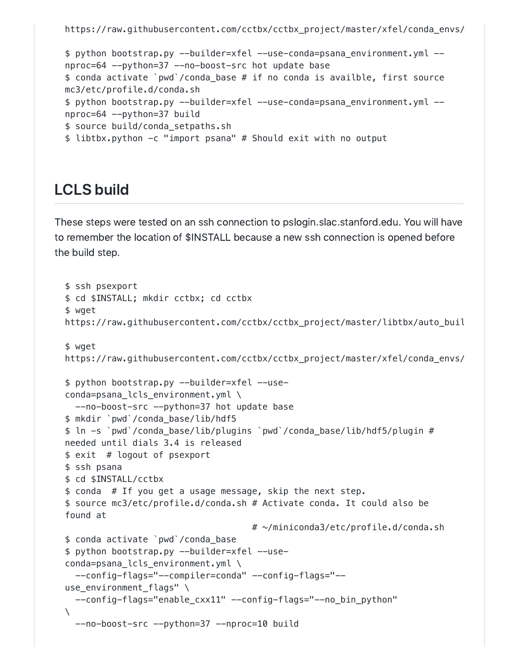```
$ python bootstrap.py --builder=xfel --use-conda=psana_environment.yml --
nproc=64 --python=37 --no-boost-src hot update base
$ conda activate `pwd`/conda_base # if no conda is availble, first source
mc3/etc/profile.d/conda.sh
$ python bootstrap.py --builder=xfel --use-conda=psana_environment.yml --
nproc=64 --python=37 build
$ source build/conda_setpaths.sh
$ libtbx.python -c "import psana" # Should exit with no output
```
#### LCLS build

These steps were tested on an ssh connection to pslogin.slac.stanford.edu. You will have to remember the location of \$INSTALL because a new ssh connection is opened before the build step.

```
$ ssh psexport
$ cd $INSTALL; mkdir cctbx; cd cctbx
$ wget
https://raw.githubusercontent.com/cctbx/cctbx_project/master/libtbx/auto_buil
$ wget
https://raw.githubusercontent.com/cctbx/cctbx_project/master/xfel/conda_envs/
$ python bootstrap.py --builder=xfel --use-
conda=psana_lcls_environment.yml \
 --no-boost-src --python=37 hot update base
$ mkdir `pwd`/conda_base/lib/hdf5
$ ln -s `pwd`/conda_base/lib/plugins `pwd`/conda_base/lib/hdf5/plugin #
needed until dials 3.4 is released
$ exit # logout of psexport
$ ssh psana
$ cd $INSTALL/cctbx
$ conda # If you get a usage message, skip the next step.
$ source mc3/etc/profile.d/conda.sh # Activate conda. It could also be
found at
                                    # ~/miniconda3/etc/profile.d/conda.sh
$ conda activate `pwd`/conda_base
$ python bootstrap.py --builder=xfel --use-
conda=psana lcls environment.yml \
 --config-flags="--compiler=conda" --config-flags="--
use_environment_flags" \
 --config-flags="enable_cxx11" --config-flags="--no_bin_python"
\setminus--no-boost-src --python=37 --nproc=10 build
```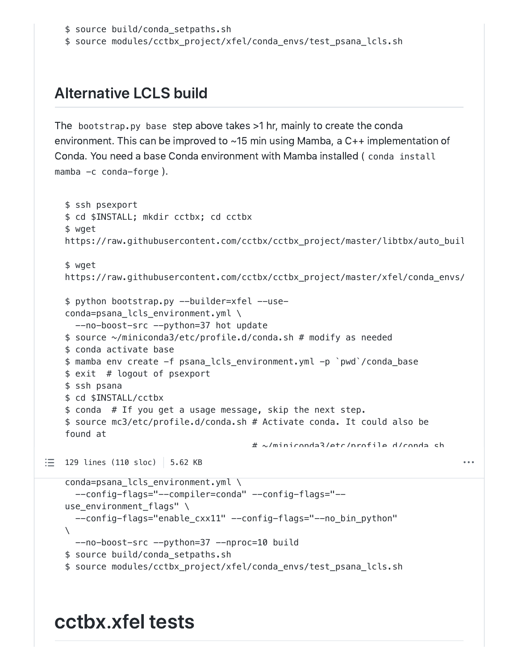```
$ source build/conda_setpaths.sh
```
\$ source modules/cctbx\_project/xfel/conda\_envs/test\_psana\_lcls.sh

### Alternative LCLS build

The bootstrap.py base step above takes >1 hr, mainly to create the conda environment. This can be improved to ~15 min using Mamba, a C++ implementation of Conda. You need a base Conda environment with Mamba installed ( conda install mamba  $-c$  conda-forge).

```
$ ssh psexport
$ cd $INSTALL; mkdir cctbx; cd cctbx
$ wget
https://raw.githubusercontent.com/cctbx/cctbx_project/master/libtbx/auto_buil
$ wget
https://raw.githubusercontent.com/cctbx/cctbx_project/master/xfel/conda_envs/
$ python bootstrap.py --builder=xfel --use-
conda=psana_lcls_environment.yml \
  --no-boost-src --python=37 hot update
$ source ~/miniconda3/etc/profile.d/conda.sh # modify as needed
$ conda activate base
$ mamba env create -f psana_lcls_environment.yml -p `pwd`/conda_base
$ exit # logout of psexport
$ ssh psana
$ cd $INSTALL/cctbx
$ conda # If you get a usage message, skip the next step.
$ source mc3/etc/profile.d/conda.sh # Activate conda. It could also be
found at
                                           # ~/miniconda3/etc/profile.d/conda.sh
129 lines (110 sloc) \vert 5.62 KB
                                                                                            \ddot{\phantom{a}}\mathbf{p}_1 , and \mathbf{p}_2 --use-called --use-called --use-called --use-called --use-called --use-called --use-called --use-called --use-called --use-called --use-called --use-called --use-called --use-called --use-called 
conda=psana_lcls_environment.yml \
  --config-flags="--compiler=conda" --config-flags="--
use environment flags" \
  --config-flags="enable_cxx11" --config-flags="--no_bin_python"
\setminus--no-boost-src --python=37 --nproc=10 build
$ source build/conda setpaths.sh
$ source modules/cctbx_project/xfel/conda_envs/test_psana_lcls.sh
```
## cctbx.xfel tests